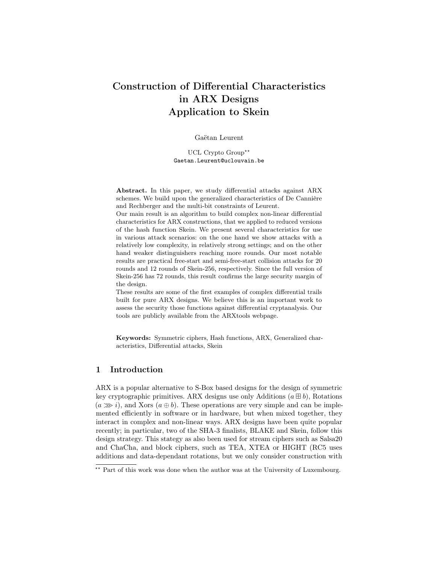# Construction of Differential Characteristics in ARX Designs Application to Skein

Gaëtan Leurent

UCL Crypto Group\*\* Gaetan.Leurent@uclouvain.be

Abstract. In this paper, we study differential attacks against ARX schemes. We build upon the generalized characteristics of De Cannière and Rechberger and the multi-bit constraints of Leurent.

Our main result is an algorithm to build complex non-linear differential characteristics for ARX constructions, that we applied to reduced versions of the hash function Skein. We present several characteristics for use in various attack scenarios: on the one hand we show attacks with a relatively low complexity, in relatively strong settings; and on the other hand weaker distinguishers reaching more rounds. Our most notable results are practical free-start and semi-free-start collision attacks for 20 rounds and 12 rounds of Skein-256, respectively. Since the full version of Skein-256 has 72 rounds, this result confirms the large security margin of the design.

These results are some of the first examples of complex differential trails built for pure ARX designs. We believe this is an important work to assess the security those functions against differential cryptanalysis. Our tools are publicly available from the ARXtools webpage.

Keywords: Symmetric ciphers, Hash functions, ARX, Generalized characteristics, Differential attacks, Skein

### 1 Introduction

ARX is a popular alternative to S-Box based designs for the design of symmetric key cryptographic primitives. ARX designs use only Additions  $(a \boxplus b)$ , Rotations  $(a \ggg i)$ , and Xors  $(a \oplus b)$ . These operations are very simple and can be implemented efficiently in software or in hardware, but when mixed together, they interact in complex and non-linear ways. ARX designs have been quite popular recently; in particular, two of the SHA-3 finalists, BLAKE and Skein, follow this design strategy. This stategy as also been used for stream ciphers such as Salsa20 and ChaCha, and block ciphers, such as TEA, XTEA or HIGHT (RC5 uses additions and data-dependant rotations, but we only consider construction with

<sup>\*\*</sup> Part of this work was done when the author was at the University of Luxembourg.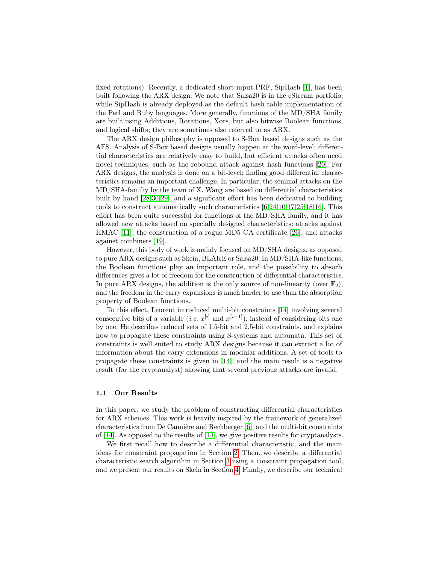fixed rotations). Recently, a dedicated short-input PRF, SipHash [\[1\]](#page-15-0), has been built following the ARX design. We note that Salsa20 is in the eStream portfolio, while SipHash is already deployed as the default hash table implementation of the Perl and Ruby languages. More generally, functions of the MD/SHA family are built using Additions, Rotations, Xors, but also bitwise Boolean functions, and logical shifts; they are sometimes also referred to as ARX.

The ARX design philosophy is opposed to S-Box based designs such as the AES. Analysis of S-Box based designs usually happen at the word-level; differential characteristics are relatively easy to build, but efficient attacks often need novel techniques, such as the rebound attack against hash functions [\[20\]](#page-16-0). For ARX designs, the analysis is done on a bit-level; finding good differential characteristics remains an important challenge. In particular, the seminal attacks on the MD/SHA-familiy by the team of X. Wang are based on differential characteristics built by hand [\[28](#page-16-1)[,30,](#page-16-2)[29\]](#page-16-3), and a significant effort has been dedicated to building tools to construct automatically such characteristics [\[6](#page-15-1)[,24](#page-16-4)[,10,](#page-15-2)[17,](#page-16-5)[25,](#page-16-6)[18](#page-16-7)[,16\]](#page-16-8). This effort has been quite successful for functions of the MD/SHA family, and it has allowed new attacks based on specially designed characteristics: attacks against HMAC [\[11\]](#page-15-3), the construction of a rogue MD5 CA certificate [\[26\]](#page-16-9), and attacks against combiners [\[19\]](#page-16-10).

However, this body of work is mainly focused on MD/SHA designs, as opposed to pure ARX designs such as Skein, BLAKE or Salsa20. In MD/SHA-like functions, the Boolean functions play an important role, and the possibility to absorb differences gives a lot of freedom for the construction of differential characteristics. In pure ARX designs, the addition is the only source of non-linearity (over  $\mathbb{F}_2$ ), and the freedom in the carry expansions is much harder to use than the absorption property of Boolean functions.

To this effect, Leurent introduced multi-bit constraints [\[14\]](#page-16-11) involving several consecutive bits of a variable (*i.e.*  $x^{[i]}$  and  $x^{[i-1]}$ ), instead of considering bits one by one. He describes reduced sets of 1.5-bit and 2.5-bit constraints, and explains how to propagate these constraints using S-systems and automata. This set of constraints is well suited to study ARX designs because it can extract a lot of information about the carry extensions in modular additions. A set of tools to propagate these constraints is given in [\[14\]](#page-16-11), and the main result is a negative result (for the cryptanalyst) showing that several previous attacks are invalid.

### 1.1 Our Results

In this paper, we study the problem of constructing differential characteristics for ARX schemes. This work is heavily inspired by the framework of generalized characteristics from De Cannière and Rechberger [\[6\]](#page-15-1), and the multi-bit constraints of [\[14\]](#page-16-11). As opposed to the results of [\[14\]](#page-16-11), we give positive results for cryptanalysts.

We first recall how to describe a differential characteristic, and the main ideas for constraint propagation in Section [2.](#page-3-0) Then, we describe a differential characteristic search algorithm in Section [3](#page-7-0) using a constraint propagation tool, and we present our results on Skein in Section [4.](#page-9-0) Finally, we describe our technical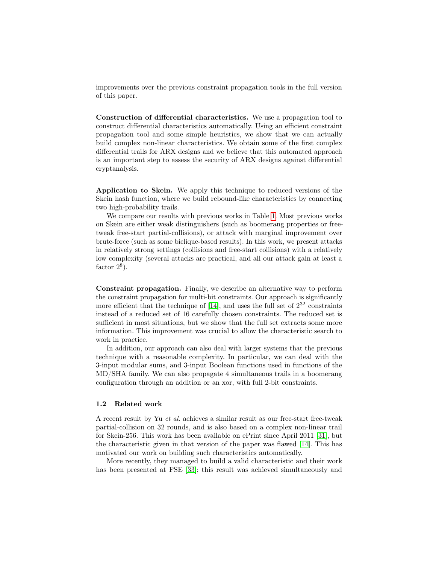improvements over the previous constraint propagation tools in the full version of this paper.

Construction of differential characteristics. We use a propagation tool to construct differential characteristics automatically. Using an efficient constraint propagation tool and some simple heuristics, we show that we can actually build complex non-linear characteristics. We obtain some of the first complex differential trails for ARX designs and we believe that this automated approach is an important step to assess the security of ARX designs against differential cryptanalysis.

Application to Skein. We apply this technique to reduced versions of the Skein hash function, where we build rebound-like characteristics by connecting two high-probability trails.

We compare our results with previous works in Table [1.](#page-3-1) Most previous works on Skein are either weak distinguishers (such as boomerang properties or freetweak free-start partial-collisions), or attack with marginal improvement over brute-force (such as some biclique-based results). In this work, we present attacks in relatively strong settings (collisions and free-start collisions) with a relatively low complexity (several attacks are practical, and all our attack gain at least a factor  $2^8$ ).

Constraint propagation. Finally, we describe an alternative way to perform the constraint propagation for multi-bit constraints. Our approach is significantly more efficient that the technique of [\[14\]](#page-16-11), and uses the full set of  $2^{32}$  constraints instead of a reduced set of 16 carefully chosen constraints. The reduced set is sufficient in most situations, but we show that the full set extracts some more information. This improvement was crucial to allow the characteristic search to work in practice.

In addition, our approach can also deal with larger systems that the previous technique with a reasonable complexity. In particular, we can deal with the 3-input modular sums, and 3-input Boolean functions used in functions of the MD/SHA family. We can also propagate 4 simultaneous trails in a boomerang configuration through an addition or an xor, with full 2-bit constraints.

### 1.2 Related work

A recent result by Yu et al. achieves a similar result as our free-start free-tweak partial-collision on 32 rounds, and is also based on a complex non-linear trail for Skein-256. This work has been available on ePrint since April 2011 [\[31\]](#page-16-12), but the characteristic given in that version of the paper was flawed [\[14\]](#page-16-11). This has motivated our work on building such characteristics automatically.

More recently, they managed to build a valid characteristic and their work has been presented at FSE [\[33\]](#page-17-0); this result was achieved simultaneously and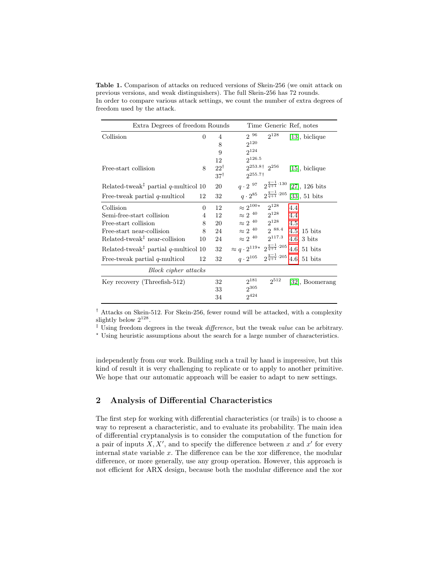<span id="page-3-1"></span>Table 1. Comparison of attacks on reduced versions of Skein-256 (we omit attack on previous versions, and weak distinguishers). The full Skein-256 has 72 rounds. In order to compare various attack settings, we count the number of extra degrees of freedom used by the attack.

| Extra Degrees of freedom Rounds                                              |          |                |                                                             |                                                       | Time Generic Ref, notes                                         |
|------------------------------------------------------------------------------|----------|----------------|-------------------------------------------------------------|-------------------------------------------------------|-----------------------------------------------------------------|
| Collision                                                                    | $\Omega$ | $\overline{4}$ | $2^{96}$                                                    | $2^{128}$                                             | $[13]$ , biclique                                               |
|                                                                              |          | 8              | $2^{120}$                                                   |                                                       |                                                                 |
|                                                                              |          | 9              | $2^{124}$                                                   |                                                       |                                                                 |
|                                                                              |          | 12             | $2^{126.5}$                                                 |                                                       |                                                                 |
| Free-start collision                                                         | 8        | $22^{\dagger}$ |                                                             | $2^{253.8\dagger}$ $2^{256}$                          | $[15]$ , biclique                                               |
|                                                                              |          | $37^{\dagger}$ | $2^{255.7\dagger}$                                          |                                                       |                                                                 |
| Related-tweak <sup><math>\ddagger</math></sup> partial <i>q</i> -multicol 10 |          | 20             |                                                             |                                                       | $q \cdot 2^{97}$ $2^{\frac{q-1}{q+1} \cdot 130}$ [27], 126 bits |
| Free-tweak partial $q$ -multicol                                             | 12       | 32             |                                                             |                                                       | $q \cdot 2^{85}$ $2^{\frac{q-1}{q+1} \cdot 205}$ [33], 51 bits  |
| Collision                                                                    | 0        | 12             | $\approx 2^{100\,\star}-2^{128}$                            |                                                       | 4.4                                                             |
| Semi-free-start collision                                                    | 4        | 12             | $\approx 2^{-40}$ $2^{128}$                                 |                                                       | 4.4                                                             |
| Free-start collision                                                         | 8        | 20             | $\approx 2^{-40}$ $ 2^{128}$                                |                                                       | 4.5                                                             |
| Free-start near-collision                                                    | 8        | 24             | $\approx$ 2 $^{\,40}$ $\qquad$ 2 $^{\,88.4}$                |                                                       | $4.5, 15$ bits                                                  |
| $Related$ -tweak <sup><math>\ddagger</math></sup> near-collision             | 10       | 24             | $\approx 2^{-40}$                                           | $2^{117.3}$                                           | $4.6, 3 \text{ bits}$                                           |
| Related-tweak <sup><math>\ddagger</math></sup> partial <i>q</i> -multicol 10 |          | 32             | $\approx q \cdot 2^{119}$ * $2^{\frac{q-1}{q+1} \cdot 205}$ |                                                       | 4.6, 51 bits                                                    |
| Free-tweak partial $q$ -multicol                                             | 12       | 32             |                                                             | $q \cdot 2^{105} \quad 2^{\frac{q-1}{q+1} \cdot 205}$ | $4.6, 51$ bits                                                  |
| Block cipher attacks                                                         |          |                |                                                             |                                                       |                                                                 |
| Key recovery (Threefish-512)                                                 |          | 32             | $2^{181}$                                                   | $2^{512}$                                             | [32], Boomerang                                                 |
|                                                                              |          | 33             | $2^{305}$                                                   |                                                       |                                                                 |
|                                                                              |          | 34             | $2^{424}$                                                   |                                                       |                                                                 |
|                                                                              |          |                |                                                             |                                                       |                                                                 |

† Attacks on Skein-512. For Skein-256, fewer round will be attacked, with a complexity slightly below  $2^{128}$ .

 $\frac{1}{2}$  Using freedom degrees in the tweak difference, but the tweak value can be arbitrary.

? Using heuristic assumptions about the search for a large number of characteristics.

independently from our work. Building such a trail by hand is impressive, but this kind of result it is very challenging to replicate or to apply to another primitive. We hope that our automatic approach will be easier to adapt to new settings.

## <span id="page-3-0"></span>2 Analysis of Differential Characteristics

The first step for working with differential characteristics (or trails) is to choose a way to represent a characteristic, and to evaluate its probability. The main idea of differential cryptanalysis is to consider the computation of the function for a pair of inputs  $X, X'$ , and to specify the difference between x and  $x'$  for every internal state variable  $x$ . The difference can be the xor difference, the modular difference, or more generally, use any group operation. However, this approach is not efficient for ARX design, because both the modular difference and the xor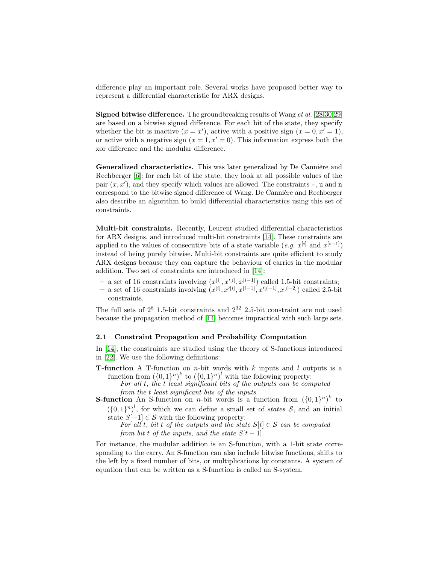difference play an important role. Several works have proposed better way to represent a differential characteristic for ARX designs.

Signed bitwise difference. The groundbreaking results of Wang et al. [\[28](#page-16-1)[,30,](#page-16-2)[29\]](#page-16-3) are based on a bitwise signed difference. For each bit of the state, they specify whether the bit is inactive  $(x = x')$ , active with a positive sign  $(x = 0, x' = 1)$ , or active with a negative sign  $(x = 1, x' = 0)$ . This information express both the xor difference and the modular difference.

Generalized characteristics. This was later generalized by De Cannière and Rechberger [\[6\]](#page-15-1): for each bit of the state, they look at all possible values of the pair  $(x, x')$ , and they specify which values are allowed. The constraints  $-$ , u and n correspond to the bitwise signed difference of Wang. De Cannière and Rechberger also describe an algorithm to build differential characteristics using this set of constraints.

Multi-bit constraints. Recently, Leurent studied differential characteristics for ARX designs, and introduced multi-bit constraints [\[14\]](#page-16-11). These constraints are applied to the values of consecutive bits of a state variable  $(e.g. x^{[i]} \text{ and } x^{[i-1]})$ instead of being purely bitwise. Multi-bit constraints are quite efficient to study ARX designs because they can capture the behaviour of carries in the modular addition. Two set of constraints are introduced in [\[14\]](#page-16-11):

- a set of 16 constraints involving  $(x^{[i]}, x'^{[i]}, x^{[i-1]})$  called 1.5-bit constraints;
- a set of 16 constraints involving  $(x^{[i]}, x^{(i]}, x^{[i-1]}, x^{[i-1]}, x^{[i-2]})$  called 2.5-bit constraints.

The full sets of  $2^8$  1.5-bit constraints and  $2^{32}$  2.5-bit constraint are not used because the propagation method of [\[14\]](#page-16-11) becomes impractical with such large sets.

### 2.1 Constraint Propagation and Probability Computation

In [\[14\]](#page-16-11), the constraints are studied using the theory of S-functions introduced in [\[22\]](#page-16-15). We use the following definitions:

**T-function** A T-function on *n*-bit words with  $k$  inputs and  $l$  outputs is a function from  $({0,1}^n)^k$  to  $({0,1}^n)^l$  with the following property:

For all t, the t least significant bits of the outputs can be computed from the t least significant bits of the inputs.

**S-function** An S-function on *n*-bit words is a function from  $({0,1}^n)^k$  to

 $({0,1}^n)^l$ , for which we can define a small set of *states* S, and an initial state  $S[-1] \in \mathcal{S}$  with the following property:

For all t, bit t of the outputs and the state  $S[t] \in \mathcal{S}$  can be computed from bit t of the inputs, and the state  $S[t-1]$ .

For instance, the modular addition is an S-function, with a 1-bit state corresponding to the carry. An S-function can also include bitwise functions, shifts to the left by a fixed number of bits, or multiplications by constants. A system of equation that can be written as a S-function is called an S-system.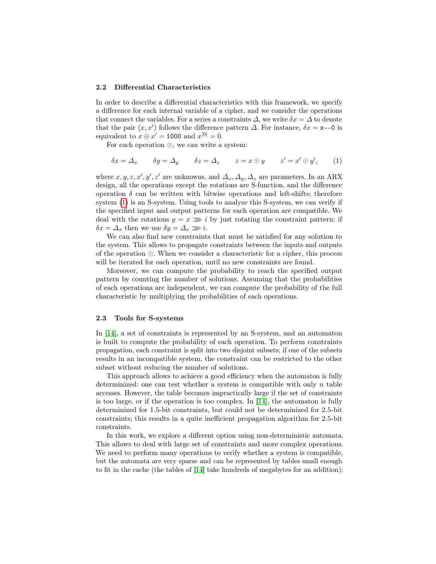### 2.2 Differential Characteristics

In order to describe a differential characteristics with this framework, we specify a difference for each internal variable of a cipher, and we consider the operations that connect the variables. For a series a constraints  $\Delta$ , we write  $\delta x = \Delta$  to denote that the pair  $(x, x')$  follows the difference pattern  $\Delta$ . For instance,  $\delta x = x - 0$  is equivalent to  $x \oplus x' = 1000$  and  $x^{[0]} = 0$ .

For each operation  $\odot$ , we can write a system:

<span id="page-5-0"></span>
$$
\delta x = \Delta_x \qquad \delta y = \Delta_y \qquad \delta z = \Delta_z \qquad z = x \odot y \qquad z' = x' \odot y', \qquad (1)
$$

where  $x, y, z, x', y', z'$  are unknowns, and  $\Delta_x, \Delta_y, \Delta_z$  are parameters. In an ARX design, all the operations except the rotations are S-function, and the difference operation  $\delta$  can be written with bitwise operations and left-shifts; therefore system [\(1\)](#page-5-0) is an S-system. Using tools to analyze this S-system, we can verify if the specified input and output patterns for each operation are compatible. We deal with the rotations  $y = x \gg i$  by just rotating the constraint pattern: if  $\delta x = \Delta_x$  then we use  $\delta y = \Delta_x \gg i$ .

We can also find new constraints that must be satisfied for any solution to the system. This allows to propagate constraints between the inputs and outputs of the operation  $\odot$ . When we consider a characteristic for a cipher, this process will be iterated for each operation, until no new constraints are found.

Moreover, we can compute the probability to reach the specified output pattern by counting the number of solutions. Assuming that the probabilities of each operations are independent, we can compute the probability of the full characteristic by multiplying the probabilities of each operations.

### 2.3 Tools for S-systems

In [\[14\]](#page-16-11), a set of constraints is represented by an S-system, and an automaton is built to compute the probability of each operation. To perform constraints propagation, each constraint is split into two disjoint subsets; if one of the subsets results in an incompatible system, the constraint can be restricted to the other subset without reducing the number of solutions.

This approach allows to achieve a good efficiency when the automaton is fully determinized: one can test whether a system is compatible with only  $n$  table accesses. However, the table becomes impractically large if the set of constraints is too large, or if the operation is too complex. In [\[14\]](#page-16-11), the automaton is fully determinized for 1.5-bit constraints, but could not be determinized for 2.5-bit constraints; this results in a quite inefficient propagation algorithm for 2.5-bit constraints.

In this work, we explore a different option using non-deterministic automata. This allows to deal with large set of constraints and more complex operations. We need to perform many operations to verify whether a system is compatible, but the automata are very sparse and can be represented by tables small enough to fit in the cache (the tables of [\[14\]](#page-16-11) take hundreds of megabytes for an addition);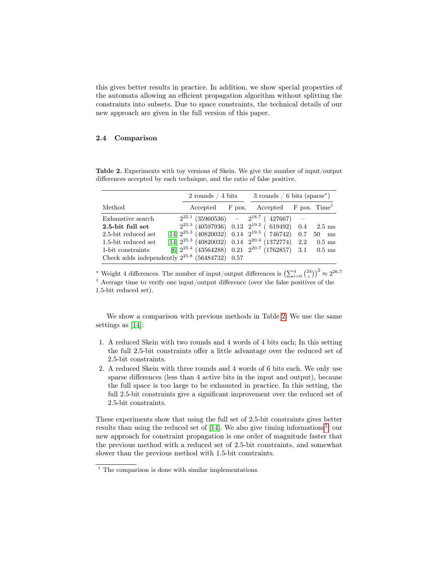this gives better results in practice. In addition, we show special properties of the automata allowing an efficient propagation algorithm without splitting the constraints into subsets. Due to space constraints, the technical details of our new approach are given in the full version of this paper.

### 2.4 Comparison

|                                                     | 2 rounds $/4$ bits                                              | $3$ rounds / 6 bits (sparse <sup>*</sup> )        |  |          |
|-----------------------------------------------------|-----------------------------------------------------------------|---------------------------------------------------|--|----------|
| Method                                              |                                                                 | Accepted F pos. Accepted F pos. Time <sup>†</sup> |  |          |
| Exhaustive search                                   | $2^{25.1}$ (35960536) - $2^{18.7}$ (427667) -                   |                                                   |  |          |
| 2.5-bit full set                                    | $2^{25.3}$ (40597936) 0.13 $2^{19.2}$ (619492) 0.4 2.5 ms       |                                                   |  |          |
| 2.5-bit reduced set                                 | $[14]$ $2^{25.3}$ (40820032) 0.14 $2^{19.5}$ (746742) 0.7 50 ms |                                                   |  |          |
| 1.5-bit reduced set                                 | $[14]$ $2^{25.3}$ (40820032) 0.14 $2^{20.4}$ (1372774) 2.2      |                                                   |  | $0.5$ ms |
| 1-bit constraints                                   | [6] $2^{25.4}$ (43564288) 0.21 $2^{20.7}$ (1762857) 3.1 0.5 ms  |                                                   |  |          |
| Check adds independently $2^{25.8}$ (56484732) 0.57 |                                                                 |                                                   |  |          |

<span id="page-6-0"></span>Table 2. Experiments with toy versions of Skein. We give the number of input/output differences accepted by each technique, and the ratio of false positive.

<sup>\*</sup> Weight 4 differences. The number of input/output differences is  $\left(\sum_{i=0}^{4} {2i \choose i}\right)^2 \approx 2^{26.7}$ 

† Average time to verify one input/output difference (over the false positives of the 1.5-bit reduced set).

We show a comparison with previous methods in Table [2.](#page-6-0) We use the same settings as [\[14\]](#page-16-11):

- 1. A reduced Skein with two rounds and 4 words of 4 bits each; In this setting the full 2.5-bit constraints offer a little advantage over the reduced set of 2.5-bit constraints.
- 2. A reduced Skein with three rounds and 4 words of 6 bits each. We only use sparse differences (less than 4 active bits in the input and output), because the full space is too large to be exhausted in practice. In this setting, the full 2.5-bit constraints give a significant improvement over the reduced set of 2.5-bit constraints.

These experiments show that using the full set of 2.5-bit constraints gives better results than using the reduced set of  $[14]$ . We also give timing informations<sup>[1](#page-6-1)</sup>: our new approach for constraint propagation is one order of magnitude faster that the previous method with a reduced set of 2.5-bit constraints, and somewhat slower than the previous method with 1.5-bit constraints.

<span id="page-6-1"></span> $<sup>1</sup>$  The comparison is done with similar implementations.</sup>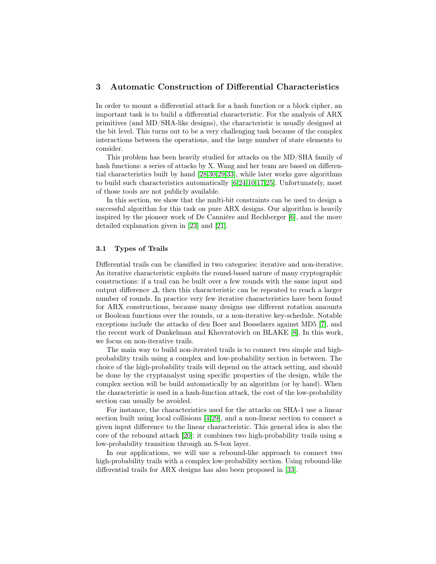# <span id="page-7-0"></span>3 Automatic Construction of Differential Characteristics

In order to mount a differential attack for a hash function or a block cipher, an important task is to build a differential characteristic. For the analysis of ARX primitives (and MD/SHA-like designs), the characteristic is usually designed at the bit level. This turns out to be a very challenging task because of the complex interactions between the operations, and the large number of state elements to consider.

This problem has been heavily studied for attacks on the MD/SHA family of hash functions: a series of attacks by X. Wang and her team are based on differential characteristics built by hand [\[28](#page-16-1)[,30,](#page-16-2)[29](#page-16-3)[,33\]](#page-17-0), while later works gave algorithms to build such characteristics automatically [\[6](#page-15-1)[,24](#page-16-4)[,10,](#page-15-2)[17,](#page-16-5)[25\]](#page-16-6). Unfortunately, most of those tools are not publicly available.

In this section, we show that the multi-bit constraints can be used to design a successful algorithm for this task on pure ARX designs. Our algorithm is heavily inspired by the pioneer work of De Cannière and Rechberger [\[6\]](#page-15-1), and the more detailed explanation given in [\[23\]](#page-16-16) and [\[21\]](#page-16-17).

#### 3.1 Types of Trails

Differential trails can be classified in two categories: iterative and non-iterative. An iterative characteristic exploits the round-based nature of many cryptographic constructions: if a trail can be built over a few rounds with the same input and output difference  $\Delta$ , then this characteristic can be repeated to reach a larger number of rounds. In practice very few iterative characteristics have been found for ARX constructions, because many designs use different rotation amounts or Boolean functions over the rounds, or a non-iterative key-schedule. Notable exceptions include the attacks of den Boer and Bosselaers against MD5 [\[7\]](#page-15-5), and the recent work of Dunkelman and Khovratovich on BLAKE [\[8\]](#page-15-6). In this work, we focus on non-iterative trails.

The main way to build non-iterated trails is to connect two simple and highprobability trails using a complex and low-probability section in between. The choice of the high-probability trails will depend on the attack setting, and should be done by the cryptanalyst using specific properties of the design, while the complex section will be build automatically by an algorithm (or by hand). When the characteristic is used in a hash-function attack, the cost of the low-probability section can usually be avoided.

For instance, the characteristics used for the attacks on SHA-1 use a linear section built using local collisions [\[4](#page-15-7)[,29\]](#page-16-3), and a non-linear section to connect a given input difference to the linear characteristic. This general idea is also the core of the rebound attack [\[20\]](#page-16-0): it combines two high-probability trails using a low-probability transition through an S-box layer.

In our applications, we will use a rebound-like approach to connect two high-probability trails with a complex low-probability section. Using rebound-like differential trails for ARX designs has also been proposed in [\[33\]](#page-17-0).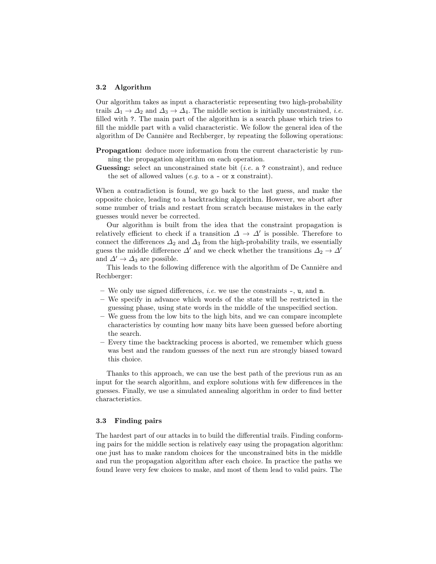#### 3.2 Algorithm

Our algorithm takes as input a characteristic representing two high-probability trails  $\Delta_1 \rightarrow \Delta_2$  and  $\Delta_3 \rightarrow \Delta_4$ . The middle section is initially unconstrained, *i.e.* filled with ?. The main part of the algorithm is a search phase which tries to fill the middle part with a valid characteristic. We follow the general idea of the algorithm of De Cannière and Rechberger, by repeating the following operations:

Propagation: deduce more information from the current characteristic by running the propagation algorithm on each operation.

**Guessing:** select an unconstrained state bit (*i.e.* a ? constraint), and reduce the set of allowed values (e.g. to  $a - or x constant$ ).

When a contradiction is found, we go back to the last guess, and make the opposite choice, leading to a backtracking algorithm. However, we abort after some number of trials and restart from scratch because mistakes in the early guesses would never be corrected.

Our algorithm is built from the idea that the constraint propagation is relatively efficient to check if a transition  $\Delta \to \Delta'$  is possible. Therefore to connect the differences  $\Delta_2$  and  $\Delta_3$  from the high-probability trails, we essentially guess the middle difference  $\Delta'$  and we check whether the transitions  $\Delta_2 \to \Delta'$ and  $\Delta' \rightarrow \Delta_3$  are possible.

This leads to the following difference with the algorithm of De Cannière and Rechberger:

- We only use signed differences, i.e. we use the constraints -, u, and n.
- We specify in advance which words of the state will be restricted in the guessing phase, using state words in the middle of the unspecified section.
- We guess from the low bits to the high bits, and we can compare incomplete characteristics by counting how many bits have been guessed before aborting the search.
- Every time the backtracking process is aborted, we remember which guess was best and the random guesses of the next run are strongly biased toward this choice.

Thanks to this approach, we can use the best path of the previous run as an input for the search algorithm, and explore solutions with few differences in the guesses. Finally, we use a simulated annealing algorithm in order to find better characteristics.

### 3.3 Finding pairs

The hardest part of our attacks in to build the differential trails. Finding conforming pairs for the middle section is relatively easy using the propagation algorithm: one just has to make random choices for the unconstrained bits in the middle and run the propagation algorithm after each choice. In practice the paths we found leave very few choices to make, and most of them lead to valid pairs. The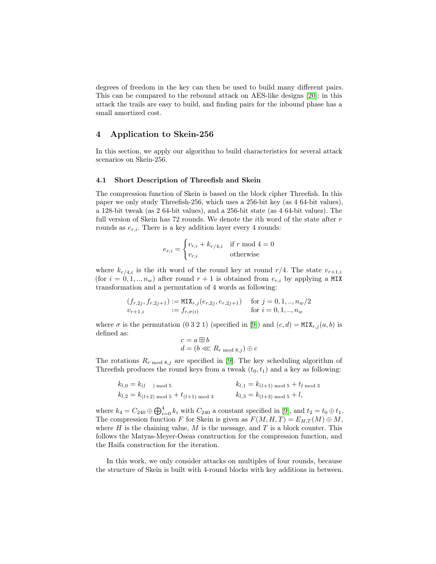degrees of freedom in the key can then be used to build many different pairs. This can be compared to the rebound attack on AES-like designs [\[20\]](#page-16-0): in this attack the trails are easy to build, and finding pairs for the inbound phase has a small amortized cost.

### <span id="page-9-0"></span>4 Application to Skein-256

In this section, we apply our algorithm to build characteristics for several attack scenarios on Skein-256.

### 4.1 Short Description of Threefish and Skein

The compression function of Skein is based on the block cipher Threefish. In this paper we only study Threefish-256, which uses a 256-bit key (as 4 64-bit values), a 128-bit tweak (as 2 64-bit values), and a 256-bit state (as 4 64-bit values). The full version of Skein has  $72$  rounds. We denote the *i*th word of the state after  $r$ rounds as  $e_{r,i}$ . There is a key addition layer every 4 rounds:

$$
e_{r,i} = \begin{cases} v_{r,i} + k_{r/4,i} & \text{if } r \text{ mod } 4 = 0\\ v_{r,i} & \text{otherwise} \end{cases}
$$

where  $k_{r/4,i}$  is the *i*th word of the round key at round  $r/4$ . The state  $v_{r+1,i}$ (for  $i = 0, 1, ..., n_w$ ) after round  $r + 1$  is obtained from  $e_{r,i}$  by applying a MIX transformation and a permutation of 4 words as following:

$$
(f_{r,2j}, f_{r,2j+1}) := \text{MIX}_{r,j}(e_{r,2j}, e_{r,2j+1}) \quad \text{for } j = 0, 1, ..., n_w/2
$$
  

$$
v_{r+1,i} := f_{r,\sigma(i)} \quad \text{for } i = 0, 1, ..., n_w
$$

where  $\sigma$  is the permutation (0.3.2.1) (specified in [\[9\]](#page-15-8)) and  $(c, d) = MIX_{r,i}(a, b)$  is defined as:

$$
c = a \boxplus b
$$
  

$$
d = (b \lll R_{r \mod 8, j}) \oplus c
$$

The rotations  $R_{r \text{ mod } 8, j}$  are specified in [\[9\]](#page-15-8). The key scheduling algorithm of Threefish produces the round keys from a tweak  $(t_0, t_1)$  and a key as following:

$$
k_{l,0} = k_{(l-1) \mod 5}
$$
  
\n
$$
k_{l,1} = k_{(l+1) \mod 5} + t_{l \mod 3}
$$
  
\n
$$
k_{l,2} = k_{(l+2) \mod 5} + t_{(l+1) \mod 3}
$$
  
\n
$$
k_{l,3} = k_{(l+3) \mod 5} + l,
$$

where  $k_4 = C_{240} \oplus \bigoplus_{i=0}^4 k_i$  with  $C_{240}$  a constant specified in [\[9\]](#page-15-8), and  $t_2 = t_0 \oplus t_1$ . The compression function F for Skein is given as  $F(M, H, T) = E_{H,T}(M) \oplus M$ , where  $H$  is the chaining value,  $M$  is the message, and  $T$  is a block counter. This follows the Matyas-Meyer-Oseas construction for the compression function, and the Haifa construction for the iteration.

In this work, we only consider attacks on multiples of four rounds, because the structure of Skein is built with 4-round blocks with key additions in between.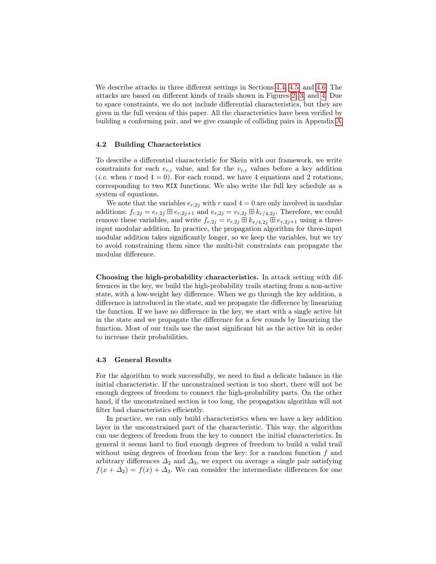We describe attacks in three different settings in Sections [4.4,](#page-11-0) [4.5,](#page-13-0) and [4.6.](#page-13-1) The attacks are based on different kinds of trails shown in Figures [2,](#page-11-1) [3,](#page-11-2) and [4.](#page-11-3) Due to space constraints, we do not include differential characteristics, but they are given in the full version of this paper. All the characteristics have been verified by building a conforming pair, and we give example of colliding pairs in Appendix [A.](#page-17-2)

#### 4.2 Building Characteristics

To describe a differential characteristic for Skein with our framework, we write constraints for each  $e_{r,i}$  value, and for the  $v_{r,i}$  values before a key addition (*i.e.* when r mod  $4 = 0$ ). For each round, we have 4 equations and 2 rotations, corresponding to two MIX functions. We also write the full key schedule as a system of equations.

We note that the variables  $e_{r,2j}$  with r mod  $4 = 0$  are only involved in modular additions:  $f_{r,2j} = e_{r,2j} \boxplus e_{r,2j+1}$  and  $e_{r,2j} = v_{r,2j} \boxplus k_{r/4,2j}$ . Therefore, we could remove these variables, and write  $f_{r,2j} = v_{r,2j} \boxplus k_{r/4,2j} \boxplus e_{r,2j+1}$  using a threeinput modular addition. In practice, the propagation algorithm for three-input modular addition takes significantly longer, so we keep the variables, but we try to avoid constraining them since the multi-bit constraints can propagate the modular difference.

Choosing the high-probability characteristics. In attack setting with differences in the key, we build the high-probability trails starting from a non-active state, with a low-weight key difference. When we go through the key addition, a difference is introduced in the state, and we propagate the difference by linearizing the function. If we have no difference in the key, we start with a single active bit in the state and we propagate the difference for a few rounds by linearizing the function. Most of our trails use the most significant bit as the active bit in order to increase their probabilities.

### 4.3 General Results

For the algorithm to work successfully, we need to find a delicate balance in the initial characteristic. If the unconstrained section is too short, there will not be enough degrees of freedom to connect the high-probability parts. On the other hand, if the unconstrained section is too long, the propagation algorithm will not filter bad characteristics efficiently.

In practice, we can only build characteristics when we have a key addition layer in the unconstrained part of the characteristic. This way, the algorithm can use degrees of freedom from the key to connect the initial characteristics. In general it seems hard to find enough degrees of freedom to build a valid trail without using degrees of freedom from the key: for a random function  $f$  and arbitrary differences  $\Delta_2$  and  $\Delta_3$ , we expect on average a single pair satisfying  $f(x + \Delta_2) = f(x) + \Delta_3$ . We can consider the intermediate differences for one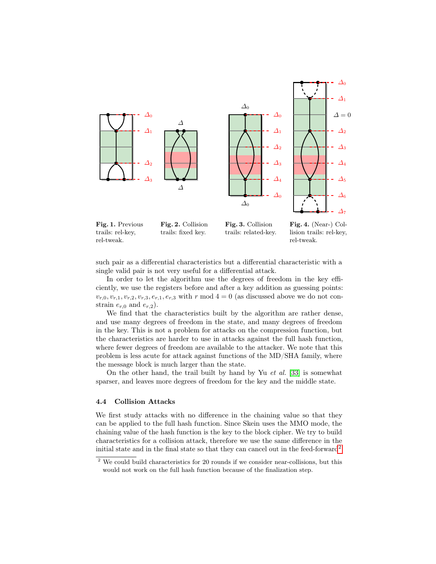

Fig. 1. Previous trails: rel-key, rel-tweak. Fig. 2. Collision trails: fixed key.

<span id="page-11-2"></span><span id="page-11-1"></span>Fig. 3. Collision trails: related-key.

<span id="page-11-3"></span>Fig. 4. (Near-) Collision trails: rel-key, rel-tweak.

such pair as a differential characteristics but a differential characteristic with a single valid pair is not very useful for a differential attack.

In order to let the algorithm use the degrees of freedom in the key efficiently, we use the registers before and after a key addition as guessing points:  $v_{r,0}, v_{r,1}, v_{r,2}, v_{r,3}, e_{r,1}, e_{r,3}$  with r mod  $4 = 0$  (as discussed above we do not constrain  $e_{r,0}$  and  $e_{r,2}$ ).

We find that the characteristics built by the algorithm are rather dense, and use many degrees of freedom in the state, and many degrees of freedom in the key. This is not a problem for attacks on the compression function, but the characteristics are harder to use in attacks against the full hash function, where fewer degrees of freedom are available to the attacker. We note that this problem is less acute for attack against functions of the MD/SHA family, where the message block is much larger than the state.

On the other hand, the trail built by hand by Yu et al. [\[33\]](#page-17-0) is somewhat sparser, and leaves more degrees of freedom for the key and the middle state.

#### <span id="page-11-0"></span>4.4 Collision Attacks

We first study attacks with no difference in the chaining value so that they can be applied to the full hash function. Since Skein uses the MMO mode, the chaining value of the hash function is the key to the block cipher. We try to build characteristics for a collision attack, therefore we use the same difference in the initial state and in the final state so that they can cancel out in the feed-forward<sup>[2](#page-11-4)</sup>.

<span id="page-11-4"></span> $2$  We could build characteristics for 20 rounds if we consider near-collisions, but this would not work on the full hash function because of the finalization step.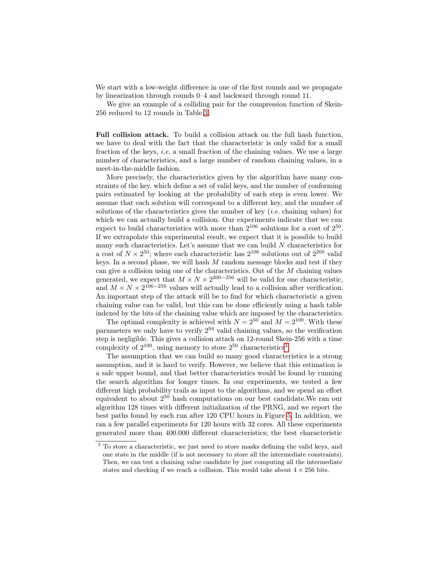We start with a low-weight difference in one of the first rounds and we propagate by linearization through rounds 0–4 and backward through round 11.

We give an example of a colliding pair for the compression function of Skein-256 reduced to 12 rounds in Table [3.](#page-17-3)

Full collision attack. To build a collision attack on the full hash function, we have to deal with the fact that the characteristic is only valid for a small fraction of the keys, *i.e.* a small fraction of the chaining values. We use a large number of characteristics, and a large number of random chaining values, in a meet-in-the-middle fashion.

More precisely, the characteristics given by the algorithm have many constraints of the key, which define a set of valid keys, and the number of conforming pairs estimated by looking at the probability of each step is even lower. We assume that each solution will correspond to a different key, and the number of solutions of the characteristics gives the number of key  $(i.e.$  chaining values) for which we can actually build a collision. Our experiments indicate that we can expect to build characteristics with more than  $2^{106}$  solutions for a cost of  $2^{50}$ . If we extrapolate this experimental result, we expect that it is possible to build many such characteristics. Let's assume that we can build  $N$  characteristics for a cost of  $N \times 2^{50}$ ; where each characteristic has  $2^{106}$  solutions out of  $2^{200}$  valid keys. In a second phase, we will hash  $M$  random message blocks and test if they can give a collision using one of the characteristics. Out of the M chaining values generated, we expect that  $M \times N \times 2^{200-256}$  will be valid for one characteristic, and  $M \times N \times 2^{106-256}$  values will actually lead to a collision after verification. An important step of the attack will be to find for which characteristic a given chaining value can be valid, but this can be done efficiently using a hash table indexed by the bits of the chaining value which are imposed by the characteristics.

The optimal complexity is achieved with  $N = 2^{50}$  and  $M = 2^{100}$ . With these parameters we only have to verify 2 <sup>94</sup> valid chaining values, so the verification step is negligible. This gives a collision attack on 12-round Skein-256 with a time complexity of  $2^{100}$ , using memory to store  $2^{50}$  characteristics<sup>[3](#page-12-0)</sup>.

The assumption that we can build so many good characteristics is a strong assumption, and it is hard to verify. However, we believe that this estimation is a safe upper bound, and that better characteristics would be found by running the search algorithm for longer times. In our experiments, we tested a few different high probability trails as input to the algorithms, and we spend an effort equivalent to about 2 <sup>50</sup> hash computations on our best candidate.We ran our algorithm 128 times with different initialization of the PRNG, and we report the best paths found by each run after 120 CPU hours in Figure [5.](#page-13-2) In addition, we ran a few parallel experiments for 120 hours with 32 cores. All these experiments generated more than 400.000 different characteristics; the best characteristic

<span id="page-12-0"></span><sup>&</sup>lt;sup>3</sup> To store a characteristic, we just need to store masks defining the valid keys, and one state in the middle (if is not necessary to store all the intermediate constraints). Then, we can test a chaining value candidate by just computing all the intermediate states and checking if we reach a collision. This would take about  $4 \times 256$  bits.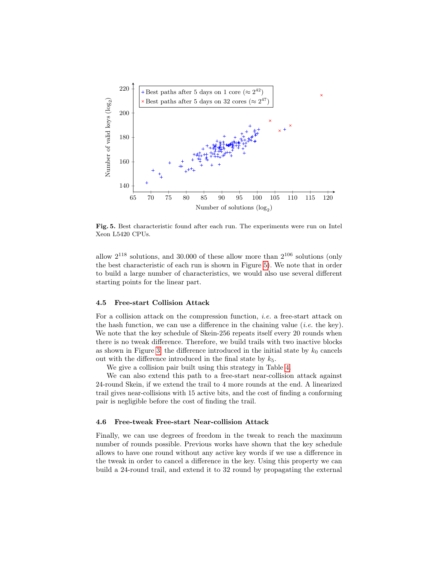

<span id="page-13-2"></span>Fig. 5. Best characteristic found after each run. The experiments were run on Intel Xeon L5420 CPUs.

allow  $2^{118}$  solutions, and 30.000 of these allow more than  $2^{106}$  solutions (only the best characteristic of each run is shown in Figure [5\)](#page-13-2). We note that in order to build a large number of characteristics, we would also use several different starting points for the linear part.

#### <span id="page-13-0"></span>4.5 Free-start Collision Attack

For a collision attack on the compression function, i.e. a free-start attack on the hash function, we can use a difference in the chaining value (*i.e.* the key). We note that the key schedule of Skein-256 repeats itself every 20 rounds when there is no tweak difference. Therefore, we build trails with two inactive blocks as shown in Figure [3:](#page-11-2) the difference introduced in the initial state by  $k_0$  cancels out with the difference introduced in the final state by  $k_5$ .

We give a collision pair built using this strategy in Table [4.](#page-17-4)

We can also extend this path to a free-start near-collision attack against 24-round Skein, if we extend the trail to 4 more rounds at the end. A linearized trail gives near-collisions with 15 active bits, and the cost of finding a conforming pair is negligible before the cost of finding the trail.

### <span id="page-13-1"></span>4.6 Free-tweak Free-start Near-collision Attack

Finally, we can use degrees of freedom in the tweak to reach the maximum number of rounds possible. Previous works have shown that the key schedule allows to have one round without any active key words if we use a difference in the tweak in order to cancel a difference in the key. Using this property we can build a 24-round trail, and extend it to 32 round by propagating the external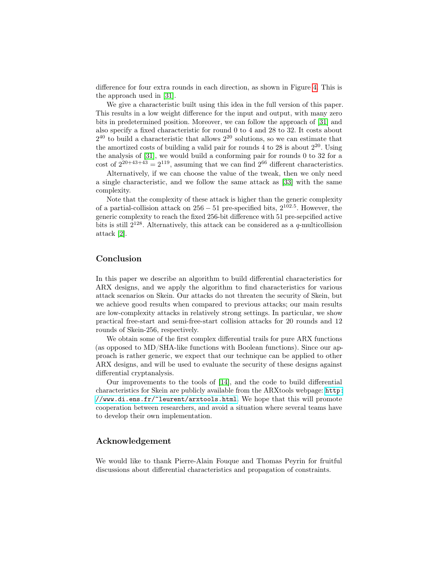difference for four extra rounds in each direction, as shown in Figure [4.](#page-11-3) This is the approach used in [\[31\]](#page-16-12).

We give a characteristic built using this idea in the full version of this paper. This results in a low weight difference for the input and output, with many zero bits in predetermined position. Moreover, we can follow the approach of [\[31\]](#page-16-12) and also specify a fixed characteristic for round 0 to 4 and 28 to 32. It costs about  $2^{40}$  to build a characteristic that allows  $2^{20}$  solutions, so we can estimate that the amortized costs of building a valid pair for rounds  $4$  to  $28$  is about  $2^{20}$ . Using the analysis of [\[31\]](#page-16-12), we would build a conforming pair for rounds 0 to 32 for a cost of  $2^{20+43+43} = 2^{119}$ , assuming that we can find  $2^{66}$  different characteristics.

Alternatively, if we can choose the value of the tweak, then we only need a single characteristic, and we follow the same attack as [\[33\]](#page-17-0) with the same complexity.

Note that the complexity of these attack is higher than the generic complexity of a partial-collision attack on  $256 - 51$  pre-specified bits,  $2^{102.5}$ . However, the generic complexity to reach the fixed 256-bit difference with 51 pre-sepcified active bits is still  $2^{128}$ . Alternatively, this attack can be considered as a q-multicollision attack [\[2\]](#page-15-9).

# Conclusion

In this paper we describe an algorithm to build differential characteristics for ARX designs, and we apply the algorithm to find characteristics for various attack scenarios on Skein. Our attacks do not threaten the security of Skein, but we achieve good results when compared to previous attacks; our main results are low-complexity attacks in relatively strong settings. In particular, we show practical free-start and semi-free-start collision attacks for 20 rounds and 12 rounds of Skein-256, respectively.

We obtain some of the first complex differential trails for pure ARX functions (as opposed to MD/SHA-like functions with Boolean functions). Since our approach is rather generic, we expect that our technique can be applied to other ARX designs, and will be used to evaluate the security of these designs against differential cryptanalysis.

Our improvements to the tools of [\[14\]](#page-16-11), and the code to build differential characteristics for Skein are publicly available from the ARXtools webpage: [http:](http://www.di.ens.fr/~leurent/arxtools.html) [//www.di.ens.fr/~leurent/arxtools.html](http://www.di.ens.fr/~leurent/arxtools.html). We hope that this will promote cooperation between researchers, and avoid a situation where several teams have to develop their own implementation.

### Acknowledgement

We would like to thank Pierre-Alain Fouque and Thomas Peyrin for fruitful discussions about differential characteristics and propagation of constraints.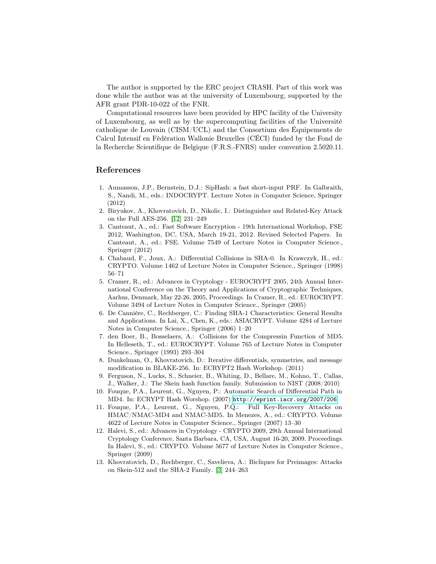The author is supported by the ERC project CRASH. Part of this work was done while the author was at the university of Luxembourg, supported by the AFR grant PDR-10-022 of the FNR.

Computational resources have been provided by HPC facility of the University of Luxembourg, as well as by the supercomputing facilities of the Université catholique de Louvain (CISM/UCL) and the Consortium des Équipements de Calcul Intensif en Fédération Wallonie Bruxelles (CÉCI) funded by the Fond de la Recherche Scientifique de Belgique (F.R.S.-FNRS) under convention 2.5020.11.

### References

- <span id="page-15-0"></span>1. Aumasson, J.P., Bernstein, D.J.: SipHash: a fast short-input PRF. In Galbraith, S., Nandi, M., eds.: INDOCRYPT. Lecture Notes in Computer Science, Springer (2012)
- <span id="page-15-9"></span>2. Biryukov, A., Khovratovich, D., Nikolic, I.: Distinguisher and Related-Key Attack on the Full AES-256. [\[12\]](#page-15-10) 231–249
- <span id="page-15-11"></span>3. Canteaut, A., ed.: Fast Software Encryption - 19th International Workshop, FSE 2012, Washington, DC, USA, March 19-21, 2012. Revised Selected Papers. In Canteaut, A., ed.: FSE. Volume 7549 of Lecture Notes in Computer Science., Springer (2012)
- <span id="page-15-7"></span>4. Chabaud, F., Joux, A.: Differential Collisions in SHA-0. In Krawczyk, H., ed.: CRYPTO. Volume 1462 of Lecture Notes in Computer Science., Springer (1998) 56–71
- <span id="page-15-12"></span>5. Cramer, R., ed.: Advances in Cryptology - EUROCRYPT 2005, 24th Annual International Conference on the Theory and Applications of Cryptographic Techniques, Aarhus, Denmark, May 22-26, 2005, Proceedings. In Cramer, R., ed.: EUROCRYPT. Volume 3494 of Lecture Notes in Computer Science., Springer (2005)
- <span id="page-15-1"></span>6. De Cannière, C., Rechberger, C.: Finding SHA-1 Characteristics: General Results and Applications. In Lai, X., Chen, K., eds.: ASIACRYPT. Volume 4284 of Lecture Notes in Computer Science., Springer (2006) 1–20
- <span id="page-15-5"></span>7. den Boer, B., Bosselaers, A.: Collisions for the Compressin Function of MD5. In Helleseth, T., ed.: EUROCRYPT. Volume 765 of Lecture Notes in Computer Science., Springer (1993) 293–304
- <span id="page-15-6"></span>8. Dunkelman, O., Khovratovich, D.: Iterative differentials, symmetries, and message modification in BLAKE-256. In: ECRYPT2 Hash Workshop. (2011)
- <span id="page-15-8"></span>9. Ferguson, N., Lucks, S., Schneier, B., Whiting, D., Bellare, M., Kohno, T., Callas, J., Walker, J.: The Skein hash function family. Submission to NIST (2008/2010)
- <span id="page-15-2"></span>10. Fouque, P.A., Leurent, G., Nguyen, P.: Automatic Search of Differential Path in MD4. In: ECRYPT Hash Worshop. (2007) <http://eprint.iacr.org/2007/206>.
- <span id="page-15-3"></span>11. Fouque, P.A., Leurent, G., Nguyen, P.Q.: Full Key-Recovery Attacks on HMAC/NMAC-MD4 and NMAC-MD5. In Menezes, A., ed.: CRYPTO. Volume 4622 of Lecture Notes in Computer Science., Springer (2007) 13–30
- <span id="page-15-10"></span>12. Halevi, S., ed.: Advances in Cryptology - CRYPTO 2009, 29th Annual International Cryptology Conference, Santa Barbara, CA, USA, August 16-20, 2009. Proceedings. In Halevi, S., ed.: CRYPTO. Volume 5677 of Lecture Notes in Computer Science., Springer (2009)
- <span id="page-15-4"></span>13. Khovratovich, D., Rechberger, C., Savelieva, A.: Bicliques for Preimages: Attacks on Skein-512 and the SHA-2 Family. [\[3\]](#page-15-11) 244–263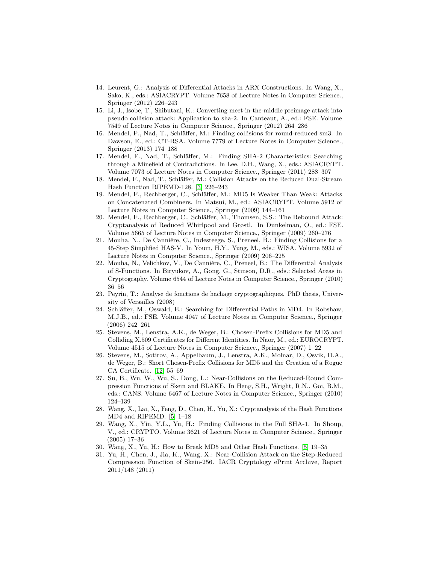- <span id="page-16-11"></span>14. Leurent, G.: Analysis of Differential Attacks in ARX Constructions. In Wang, X., Sako, K., eds.: ASIACRYPT. Volume 7658 of Lecture Notes in Computer Science., Springer (2012) 226–243
- <span id="page-16-13"></span>15. Li, J., Isobe, T., Shibutani, K.: Converting meet-in-the-middle preimage attack into pseudo collision attack: Application to sha-2. In Canteaut, A., ed.: FSE. Volume 7549 of Lecture Notes in Computer Science., Springer (2012) 264–286
- <span id="page-16-8"></span>16. Mendel, F., Nad, T., Schläffer, M.: Finding collisions for round-reduced sm3. In Dawson, E., ed.: CT-RSA. Volume 7779 of Lecture Notes in Computer Science., Springer (2013) 174–188
- <span id="page-16-5"></span>17. Mendel, F., Nad, T., Schläffer, M.: Finding SHA-2 Characteristics: Searching through a Minefield of Contradictions. In Lee, D.H., Wang, X., eds.: ASIACRYPT. Volume 7073 of Lecture Notes in Computer Science., Springer (2011) 288–307
- <span id="page-16-7"></span>18. Mendel, F., Nad, T., Schläffer, M.: Collision Attacks on the Reduced Dual-Stream Hash Function RIPEMD-128. [\[3\]](#page-15-11) 226–243
- <span id="page-16-10"></span>19. Mendel, F., Rechberger, C., Schläffer, M.: MD5 Is Weaker Than Weak: Attacks on Concatenated Combiners. In Matsui, M., ed.: ASIACRYPT. Volume 5912 of Lecture Notes in Computer Science., Springer (2009) 144–161
- <span id="page-16-0"></span>20. Mendel, F., Rechberger, C., Schläffer, M., Thomsen, S.S.: The Rebound Attack: Cryptanalysis of Reduced Whirlpool and Grøstl. In Dunkelman, O., ed.: FSE. Volume 5665 of Lecture Notes in Computer Science., Springer (2009) 260–276
- <span id="page-16-17"></span>21. Mouha, N., De Cannière, C., Indesteege, S., Preneel, B.: Finding Collisions for a 45-Step Simplified HAS-V. In Youm, H.Y., Yung, M., eds.: WISA. Volume 5932 of Lecture Notes in Computer Science., Springer (2009) 206–225
- <span id="page-16-15"></span>22. Mouha, N., Velichkov, V., De Cannière, C., Preneel, B.: The Differential Analysis of S-Functions. In Biryukov, A., Gong, G., Stinson, D.R., eds.: Selected Areas in Cryptography. Volume 6544 of Lecture Notes in Computer Science., Springer (2010) 36–56
- <span id="page-16-16"></span>23. Peyrin, T.: Analyse de fonctions de hachage cryptographiques. PhD thesis, University of Versailles (2008)
- <span id="page-16-4"></span>24. Schläffer, M., Oswald, E.: Searching for Differential Paths in MD4. In Robshaw, M.J.B., ed.: FSE. Volume 4047 of Lecture Notes in Computer Science., Springer (2006) 242–261
- <span id="page-16-6"></span>25. Stevens, M., Lenstra, A.K., de Weger, B.: Chosen-Prefix Collisions for MD5 and Colliding X.509 Certificates for Different Identities. In Naor, M., ed.: EUROCRYPT. Volume 4515 of Lecture Notes in Computer Science., Springer (2007) 1–22
- <span id="page-16-9"></span>26. Stevens, M., Sotirov, A., Appelbaum, J., Lenstra, A.K., Molnar, D., Osvik, D.A., de Weger, B.: Short Chosen-Prefix Collisions for MD5 and the Creation of a Rogue CA Certificate. [\[12\]](#page-15-10) 55–69
- <span id="page-16-14"></span>27. Su, B., Wu, W., Wu, S., Dong, L.: Near-Collisions on the Reduced-Round Compression Functions of Skein and BLAKE. In Heng, S.H., Wright, R.N., Goi, B.M., eds.: CANS. Volume 6467 of Lecture Notes in Computer Science., Springer (2010) 124–139
- <span id="page-16-1"></span>28. Wang, X., Lai, X., Feng, D., Chen, H., Yu, X.: Cryptanalysis of the Hash Functions MD4 and RIPEMD. [\[5\]](#page-15-12) 1–18
- <span id="page-16-3"></span>29. Wang, X., Yin, Y.L., Yu, H.: Finding Collisions in the Full SHA-1. In Shoup, V., ed.: CRYPTO. Volume 3621 of Lecture Notes in Computer Science., Springer (2005) 17–36
- <span id="page-16-2"></span>30. Wang, X., Yu, H.: How to Break MD5 and Other Hash Functions. [\[5\]](#page-15-12) 19–35
- <span id="page-16-12"></span>31. Yu, H., Chen, J., Jia, K., Wang, X.: Near-Collision Attack on the Step-Reduced Compression Function of Skein-256. IACR Cryptology ePrint Archive, Report 2011/148 (2011)